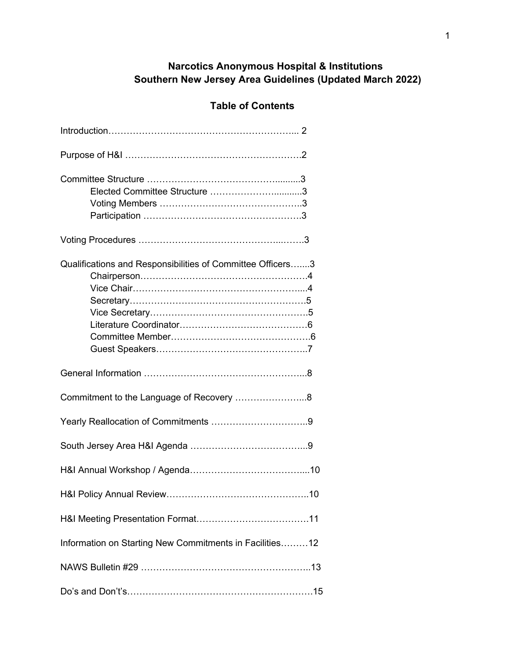# **Narcotics Anonymous Hospital & Institutions Southern New Jersey Area Guidelines (Updated March 2022)**

# **Table of Contents**

| Elected Committee Structure 3                              |
|------------------------------------------------------------|
|                                                            |
| Qualifications and Responsibilities of Committee Officers3 |
|                                                            |
| Commitment to the Language of Recovery 8                   |
|                                                            |
|                                                            |
|                                                            |
|                                                            |
|                                                            |
| Information on Starting New Commitments in Facilities12    |
|                                                            |
|                                                            |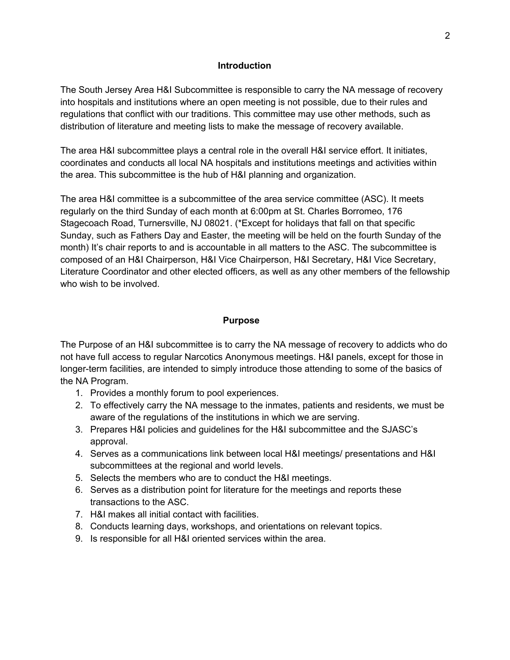#### **Introduction**

The South Jersey Area H&I Subcommittee is responsible to carry the NA message of recovery into hospitals and institutions where an open meeting is not possible, due to their rules and regulations that conflict with our traditions. This committee may use other methods, such as distribution of literature and meeting lists to make the message of recovery available.

The area H&I subcommittee plays a central role in the overall H&I service effort. It initiates, coordinates and conducts all local NA hospitals and institutions meetings and activities within the area. This subcommittee is the hub of H&I planning and organization.

The area H&I committee is a subcommittee of the area service committee (ASC). It meets regularly on the third Sunday of each month at 6:00pm at St. Charles Borromeo, 176 Stagecoach Road, Turnersville, NJ 08021. (\*Except for holidays that fall on that specific Sunday, such as Fathers Day and Easter, the meeting will be held on the fourth Sunday of the month) It's chair reports to and is accountable in all matters to the ASC. The subcommittee is composed of an H&I Chairperson, H&I Vice Chairperson, H&I Secretary, H&I Vice Secretary, Literature Coordinator and other elected officers, as well as any other members of the fellowship who wish to be involved.

### **Purpose**

The Purpose of an H&I subcommittee is to carry the NA message of recovery to addicts who do not have full access to regular Narcotics Anonymous meetings. H&I panels, except for those in longer-term facilities, are intended to simply introduce those attending to some of the basics of the NA Program.

- 1. Provides a monthly forum to pool experiences.
- 2. To effectively carry the NA message to the inmates, patients and residents, we must be aware of the regulations of the institutions in which we are serving.
- 3. Prepares H&I policies and guidelines for the H&I subcommittee and the SJASC's approval.
- 4. Serves as a communications link between local H&I meetings/ presentations and H&I subcommittees at the regional and world levels.
- 5. Selects the members who are to conduct the H&I meetings.
- 6. Serves as a distribution point for literature for the meetings and reports these transactions to the ASC.
- 7. H&I makes all initial contact with facilities.
- 8. Conducts learning days, workshops, and orientations on relevant topics.
- 9. Is responsible for all H&I oriented services within the area.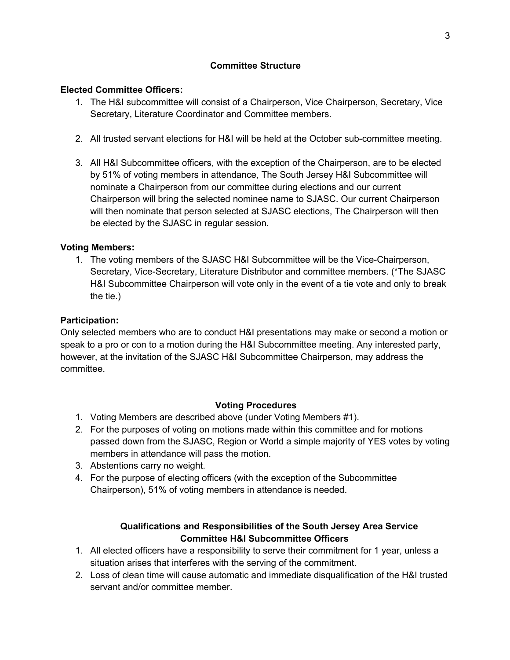## **Committee Structure**

## **Elected Committee Officers:**

- 1. The H&I subcommittee will consist of a Chairperson, Vice Chairperson, Secretary, Vice Secretary, Literature Coordinator and Committee members.
- 2. All trusted servant elections for H&I will be held at the October sub-committee meeting.
- 3. All H&I Subcommittee officers, with the exception of the Chairperson, are to be elected by 51% of voting members in attendance, The South Jersey H&I Subcommittee will nominate a Chairperson from our committee during elections and our current Chairperson will bring the selected nominee name to SJASC. Our current Chairperson will then nominate that person selected at SJASC elections, The Chairperson will then be elected by the SJASC in regular session.

### **Voting Members:**

1. The voting members of the SJASC H&I Subcommittee will be the Vice-Chairperson, Secretary, Vice-Secretary, Literature Distributor and committee members. (\*The SJASC H&I Subcommittee Chairperson will vote only in the event of a tie vote and only to break the tie.)

### **Participation:**

Only selected members who are to conduct H&I presentations may make or second a motion or speak to a pro or con to a motion during the H&I Subcommittee meeting. Any interested party, however, at the invitation of the SJASC H&I Subcommittee Chairperson, may address the committee.

### **Voting Procedures**

- 1. Voting Members are described above (under Voting Members #1).
- 2. For the purposes of voting on motions made within this committee and for motions passed down from the SJASC, Region or World a simple majority of YES votes by voting members in attendance will pass the motion.
- 3. Abstentions carry no weight.
- 4. For the purpose of electing officers (with the exception of the Subcommittee Chairperson), 51% of voting members in attendance is needed.

# **Qualifications and Responsibilities of the South Jersey Area Service Committee H&I Subcommittee Officers**

- 1. All elected officers have a responsibility to serve their commitment for 1 year, unless a situation arises that interferes with the serving of the commitment.
- 2. Loss of clean time will cause automatic and immediate disqualification of the H&I trusted servant and/or committee member.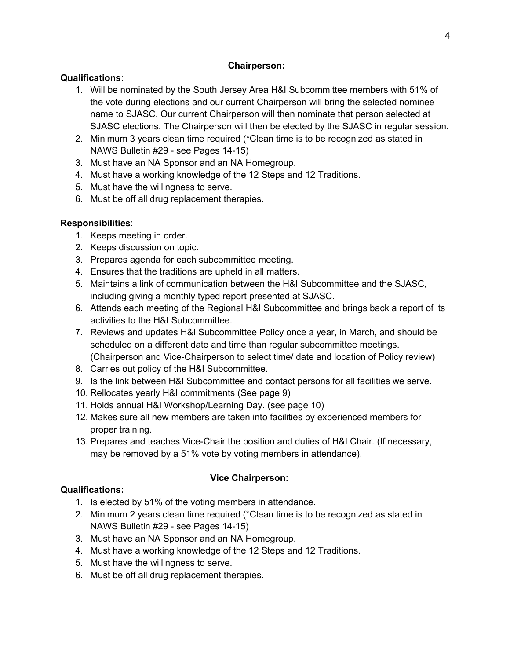## **Chairperson:**

## **Qualifications:**

- 1. Will be nominated by the South Jersey Area H&I Subcommittee members with 51% of the vote during elections and our current Chairperson will bring the selected nominee name to SJASC. Our current Chairperson will then nominate that person selected at SJASC elections. The Chairperson will then be elected by the SJASC in regular session.
- 2. Minimum 3 years clean time required (\*Clean time is to be recognized as stated in NAWS Bulletin #29 - see Pages 14-15)
- 3. Must have an NA Sponsor and an NA Homegroup.
- 4. Must have a working knowledge of the 12 Steps and 12 Traditions.
- 5. Must have the willingness to serve.
- 6. Must be off all drug replacement therapies.

# **Responsibilities**:

- 1. Keeps meeting in order.
- 2. Keeps discussion on topic.
- 3. Prepares agenda for each subcommittee meeting.
- 4. Ensures that the traditions are upheld in all matters.
- 5. Maintains a link of communication between the H&I Subcommittee and the SJASC, including giving a monthly typed report presented at SJASC.
- 6. Attends each meeting of the Regional H&I Subcommittee and brings back a report of its activities to the H&I Subcommittee.
- 7. Reviews and updates H&I Subcommittee Policy once a year, in March, and should be scheduled on a different date and time than regular subcommittee meetings. (Chairperson and Vice-Chairperson to select time/ date and location of Policy review)
- 8. Carries out policy of the H&I Subcommittee.
- 9. Is the link between H&I Subcommittee and contact persons for all facilities we serve.
- 10. Rellocates yearly H&I commitments (See page 9)
- 11. Holds annual H&I Workshop/Learning Day. (see page 10)
- 12. Makes sure all new members are taken into facilities by experienced members for proper training.
- 13. Prepares and teaches Vice-Chair the position and duties of H&I Chair. (If necessary, may be removed by a 51% vote by voting members in attendance).

# **Vice Chairperson:**

- 1. Is elected by 51% of the voting members in attendance.
- 2. Minimum 2 years clean time required (\*Clean time is to be recognized as stated in NAWS Bulletin #29 - see Pages 14-15)
- 3. Must have an NA Sponsor and an NA Homegroup.
- 4. Must have a working knowledge of the 12 Steps and 12 Traditions.
- 5. Must have the willingness to serve.
- 6. Must be off all drug replacement therapies.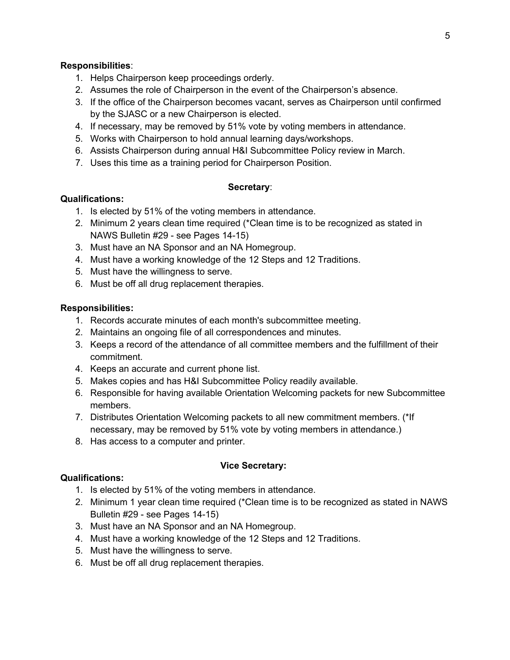#### **Responsibilities**:

- 1. Helps Chairperson keep proceedings orderly.
- 2. Assumes the role of Chairperson in the event of the Chairperson's absence.
- 3. If the office of the Chairperson becomes vacant, serves as Chairperson until confirmed by the SJASC or a new Chairperson is elected.
- 4. If necessary, may be removed by 51% vote by voting members in attendance.
- 5. Works with Chairperson to hold annual learning days/workshops.
- 6. Assists Chairperson during annual H&I Subcommittee Policy review in March.
- 7. Uses this time as a training period for Chairperson Position.

#### **Secretary**:

#### **Qualifications:**

- 1. Is elected by 51% of the voting members in attendance.
- 2. Minimum 2 years clean time required (\*Clean time is to be recognized as stated in NAWS Bulletin #29 - see Pages 14-15)
- 3. Must have an NA Sponsor and an NA Homegroup.
- 4. Must have a working knowledge of the 12 Steps and 12 Traditions.
- 5. Must have the willingness to serve.
- 6. Must be off all drug replacement therapies.

#### **Responsibilities:**

- 1. Records accurate minutes of each month's subcommittee meeting.
- 2. Maintains an ongoing file of all correspondences and minutes.
- 3. Keeps a record of the attendance of all committee members and the fulfillment of their commitment.
- 4. Keeps an accurate and current phone list.
- 5. Makes copies and has H&I Subcommittee Policy readily available.
- 6. Responsible for having available Orientation Welcoming packets for new Subcommittee members.
- 7. Distributes Orientation Welcoming packets to all new commitment members. (\*If necessary, may be removed by 51% vote by voting members in attendance.)
- 8. Has access to a computer and printer.

#### **Vice Secretary:**

- 1. Is elected by 51% of the voting members in attendance.
- 2. Minimum 1 year clean time required (\*Clean time is to be recognized as stated in NAWS Bulletin #29 - see Pages 14-15)
- 3. Must have an NA Sponsor and an NA Homegroup.
- 4. Must have a working knowledge of the 12 Steps and 12 Traditions.
- 5. Must have the willingness to serve.
- 6. Must be off all drug replacement therapies.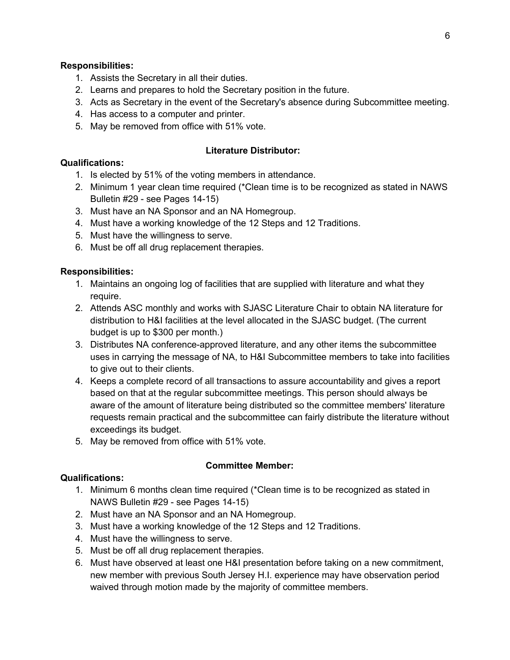### **Responsibilities:**

- 1. Assists the Secretary in all their duties.
- 2. Learns and prepares to hold the Secretary position in the future.
- 3. Acts as Secretary in the event of the Secretary's absence during Subcommittee meeting.
- 4. Has access to a computer and printer.
- 5. May be removed from office with 51% vote.

#### **Literature Distributor:**

#### **Qualifications:**

- 1. Is elected by 51% of the voting members in attendance.
- 2. Minimum 1 year clean time required (\*Clean time is to be recognized as stated in NAWS Bulletin #29 - see Pages 14-15)
- 3. Must have an NA Sponsor and an NA Homegroup.
- 4. Must have a working knowledge of the 12 Steps and 12 Traditions.
- 5. Must have the willingness to serve.
- 6. Must be off all drug replacement therapies.

### **Responsibilities:**

- 1. Maintains an ongoing log of facilities that are supplied with literature and what they require.
- 2. Attends ASC monthly and works with SJASC Literature Chair to obtain NA literature for distribution to H&I facilities at the level allocated in the SJASC budget. (The current budget is up to \$300 per month.)
- 3. Distributes NA conference-approved literature, and any other items the subcommittee uses in carrying the message of NA, to H&I Subcommittee members to take into facilities to give out to their clients.
- 4. Keeps a complete record of all transactions to assure accountability and gives a report based on that at the regular subcommittee meetings. This person should always be aware of the amount of literature being distributed so the committee members' literature requests remain practical and the subcommittee can fairly distribute the literature without exceedings its budget.
- 5. May be removed from office with 51% vote.

### **Committee Member:**

- 1. Minimum 6 months clean time required (\*Clean time is to be recognized as stated in NAWS Bulletin #29 - see Pages 14-15)
- 2. Must have an NA Sponsor and an NA Homegroup.
- 3. Must have a working knowledge of the 12 Steps and 12 Traditions.
- 4. Must have the willingness to serve.
- 5. Must be off all drug replacement therapies.
- 6. Must have observed at least one H&I presentation before taking on a new commitment, new member with previous South Jersey H.I. experience may have observation period waived through motion made by the majority of committee members.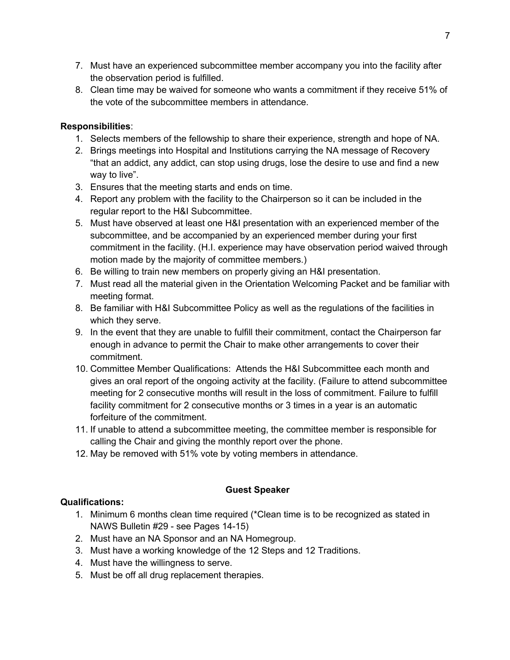- 7. Must have an experienced subcommittee member accompany you into the facility after the observation period is fulfilled.
- 8. Clean time may be waived for someone who wants a commitment if they receive 51% of the vote of the subcommittee members in attendance.

## **Responsibilities**:

- 1. Selects members of the fellowship to share their experience, strength and hope of NA.
- 2. Brings meetings into Hospital and Institutions carrying the NA message of Recovery "that an addict, any addict, can stop using drugs, lose the desire to use and find a new way to live".
- 3. Ensures that the meeting starts and ends on time.
- 4. Report any problem with the facility to the Chairperson so it can be included in the regular report to the H&I Subcommittee.
- 5. Must have observed at least one H&I presentation with an experienced member of the subcommittee, and be accompanied by an experienced member during your first commitment in the facility. (H.I. experience may have observation period waived through motion made by the majority of committee members.)
- 6. Be willing to train new members on properly giving an H&I presentation.
- 7. Must read all the material given in the Orientation Welcoming Packet and be familiar with meeting format.
- 8. Be familiar with H&I Subcommittee Policy as well as the regulations of the facilities in which they serve.
- 9. In the event that they are unable to fulfill their commitment, contact the Chairperson far enough in advance to permit the Chair to make other arrangements to cover their commitment.
- 10. Committee Member Qualifications: Attends the H&I Subcommittee each month and gives an oral report of the ongoing activity at the facility. (Failure to attend subcommittee meeting for 2 consecutive months will result in the loss of commitment. Failure to fulfill facility commitment for 2 consecutive months or 3 times in a year is an automatic forfeiture of the commitment.
- 11. If unable to attend a subcommittee meeting, the committee member is responsible for calling the Chair and giving the monthly report over the phone.
- 12. May be removed with 51% vote by voting members in attendance.

# **Guest Speaker**

- 1. Minimum 6 months clean time required (\*Clean time is to be recognized as stated in NAWS Bulletin #29 - see Pages 14-15)
- 2. Must have an NA Sponsor and an NA Homegroup.
- 3. Must have a working knowledge of the 12 Steps and 12 Traditions.
- 4. Must have the willingness to serve.
- 5. Must be off all drug replacement therapies.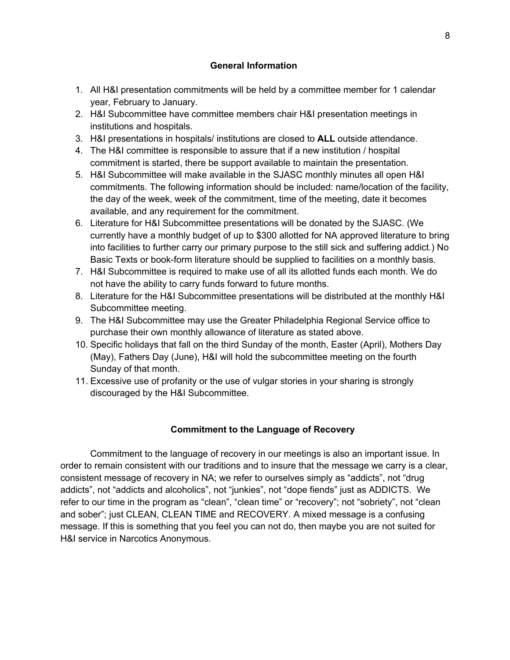## **General Information**

- 1. All H&I presentation commitments will be held by a committee member for 1 calendar year, February to January.
- 2. H&I Subcommittee have committee members chair H&I presentation meetings in institutions and hospitals.
- 3. H&I presentations in hospitals/ institutions are closed to **ALL** outside attendance.
- 4. The H&I committee is responsible to assure that if a new institution / hospital commitment is started, there be support available to maintain the presentation.
- 5. H&I Subcommittee will make available in the SJASC monthly minutes all open H&I commitments. The following information should be included: name/location of the facility, the day of the week, week of the commitment, time of the meeting, date it becomes available, and any requirement for the commitment.
- 6. Literature for H&I Subcommittee presentations will be donated by the SJASC. (We currently have a monthly budget of up to \$300 allotted for NA approved literature to bring into facilities to further carry our primary purpose to the still sick and suffering addict.) No Basic Texts or book-form literature should be supplied to facilities on a monthly basis.
- 7. H&I Subcommittee is required to make use of all its allotted funds each month. We do not have the ability to carry funds forward to future months.
- 8. Literature for the H&I Subcommittee presentations will be distributed at the monthly H&I Subcommittee meeting.
- 9. The H&I Subcommittee may use the Greater Philadelphia Regional Service office to purchase their own monthly allowance of literature as stated above.
- 10. Specific holidays that fall on the third Sunday of the month, Easter (April), Mothers Day (May), Fathers Day (June), H&I will hold the subcommittee meeting on the fourth Sunday of that month.
- 11. Excessive use of profanity or the use of vulgar stories in your sharing is strongly discouraged by the H&I Subcommittee.

# **Commitment to the Language of Recovery**

Commitment to the language of recovery in our meetings is also an important issue. In order to remain consistent with our traditions and to insure that the message we carry is a clear, consistent message of recovery in NA; we refer to ourselves simply as "addicts", not "drug addicts", not "addicts and alcoholics", not "junkies", not "dope fiends" just as ADDICTS. We refer to our time in the program as "clean", "clean time" or "recovery"; not "sobriety", not "clean and sober"; just CLEAN, CLEAN TIME and RECOVERY. A mixed message is a confusing message. If this is something that you feel you can not do, then maybe you are not suited for H&I service in Narcotics Anonymous.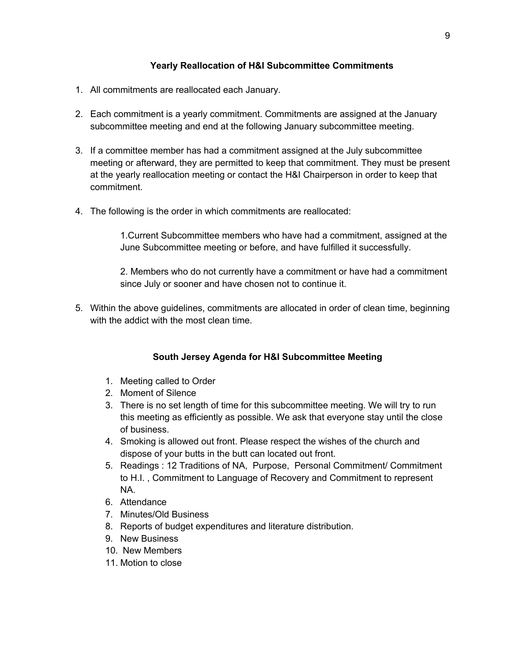## **Yearly Reallocation of H&I Subcommittee Commitments**

- 1. All commitments are reallocated each January.
- 2. Each commitment is a yearly commitment. Commitments are assigned at the January subcommittee meeting and end at the following January subcommittee meeting.
- 3. If a committee member has had a commitment assigned at the July subcommittee meeting or afterward, they are permitted to keep that commitment. They must be present at the yearly reallocation meeting or contact the H&I Chairperson in order to keep that commitment.
- 4. The following is the order in which commitments are reallocated:

1.Current Subcommittee members who have had a commitment, assigned at the June Subcommittee meeting or before, and have fulfilled it successfully.

2. Members who do not currently have a commitment or have had a commitment since July or sooner and have chosen not to continue it.

5. Within the above guidelines, commitments are allocated in order of clean time, beginning with the addict with the most clean time.

# **South Jersey Agenda for H&I Subcommittee Meeting**

- 1. Meeting called to Order
- 2. Moment of Silence
- 3. There is no set length of time for this subcommittee meeting. We will try to run this meeting as efficiently as possible. We ask that everyone stay until the close of business.
- 4. Smoking is allowed out front. Please respect the wishes of the church and dispose of your butts in the butt can located out front.
- 5. Readings : 12 Traditions of NA, Purpose, Personal Commitment/ Commitment to H.I. , Commitment to Language of Recovery and Commitment to represent NA.
- 6. Attendance
- 7. Minutes/Old Business
- 8. Reports of budget expenditures and literature distribution.
- 9. New Business
- 10. New Members
- 11. Motion to close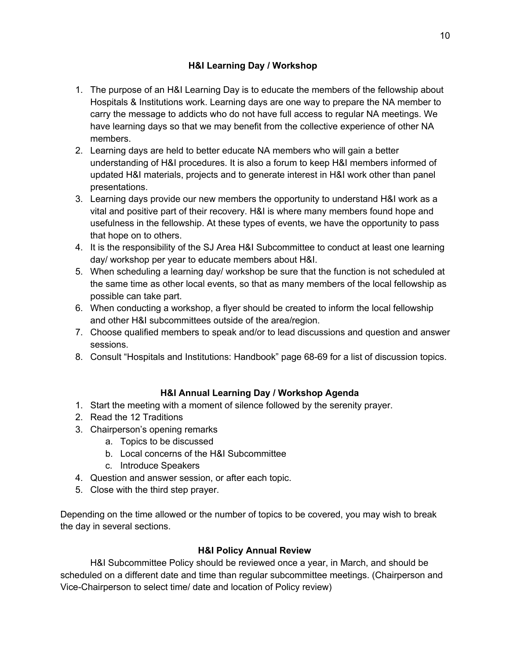# **H&I Learning Day / Workshop**

- 1. The purpose of an H&I Learning Day is to educate the members of the fellowship about Hospitals & Institutions work. Learning days are one way to prepare the NA member to carry the message to addicts who do not have full access to regular NA meetings. We have learning days so that we may benefit from the collective experience of other NA members.
- 2. Learning days are held to better educate NA members who will gain a better understanding of H&I procedures. It is also a forum to keep H&I members informed of updated H&I materials, projects and to generate interest in H&I work other than panel presentations.
- 3. Learning days provide our new members the opportunity to understand H&I work as a vital and positive part of their recovery. H&I is where many members found hope and usefulness in the fellowship. At these types of events, we have the opportunity to pass that hope on to others.
- 4. It is the responsibility of the SJ Area H&I Subcommittee to conduct at least one learning day/ workshop per year to educate members about H&I.
- 5. When scheduling a learning day/ workshop be sure that the function is not scheduled at the same time as other local events, so that as many members of the local fellowship as possible can take part.
- 6. When conducting a workshop, a flyer should be created to inform the local fellowship and other H&I subcommittees outside of the area/region.
- 7. Choose qualified members to speak and/or to lead discussions and question and answer sessions.
- 8. Consult "Hospitals and Institutions: Handbook" page 68-69 for a list of discussion topics.

# **H&I Annual Learning Day / Workshop Agenda**

- 1. Start the meeting with a moment of silence followed by the serenity prayer.
- 2. Read the 12 Traditions
- 3. Chairperson's opening remarks
	- a. Topics to be discussed
	- b. Local concerns of the H&I Subcommittee
	- c. Introduce Speakers
- 4. Question and answer session, or after each topic.
- 5. Close with the third step prayer.

Depending on the time allowed or the number of topics to be covered, you may wish to break the day in several sections.

### **H&I Policy Annual Review**

H&I Subcommittee Policy should be reviewed once a year, in March, and should be scheduled on a different date and time than regular subcommittee meetings. (Chairperson and Vice-Chairperson to select time/ date and location of Policy review)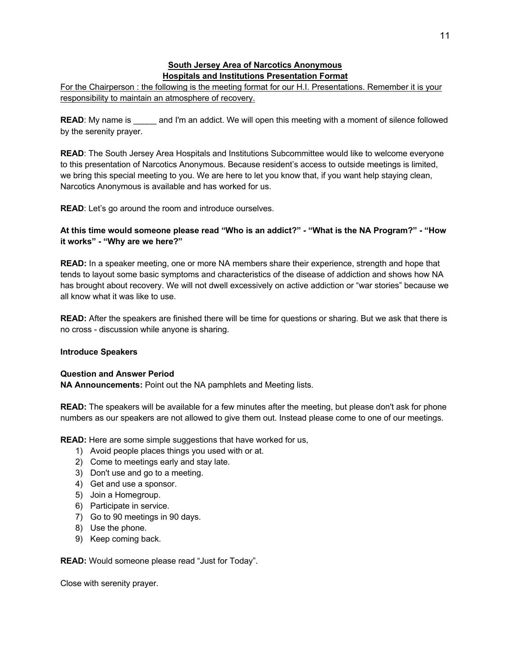#### **South Jersey Area of Narcotics Anonymous Hospitals and Institutions Presentation Format**

For the Chairperson : the following is the meeting format for our H.I. Presentations. Remember it is your responsibility to maintain an atmosphere of recovery.

**READ:** My name is and I'm an addict. We will open this meeting with a moment of silence followed by the serenity prayer.

**READ:** The South Jersey Area Hospitals and Institutions Subcommittee would like to welcome everyone to this presentation of Narcotics Anonymous. Because resident's access to outside meetings is limited, we bring this special meeting to you. We are here to let you know that, if you want help staying clean, Narcotics Anonymous is available and has worked for us.

**READ:** Let's go around the room and introduce ourselves.

#### **At this time would someone please read "Who is an addict?" - "What is the NA Program?" - "How it works" - "Why are we here?"**

**READ:** In a speaker meeting, one or more NA members share their experience, strength and hope that tends to layout some basic symptoms and characteristics of the disease of addiction and shows how NA has brought about recovery. We will not dwell excessively on active addiction or "war stories" because we all know what it was like to use.

**READ:** After the speakers are finished there will be time for questions or sharing. But we ask that there is no cross - discussion while anyone is sharing.

#### **Introduce Speakers**

#### **Question and Answer Period**

**NA Announcements:** Point out the NA pamphlets and Meeting lists.

**READ:** The speakers will be available for a few minutes after the meeting, but please don't ask for phone numbers as our speakers are not allowed to give them out. Instead please come to one of our meetings.

**READ:** Here are some simple suggestions that have worked for us,

- 1) Avoid people places things you used with or at.
- 2) Come to meetings early and stay late.
- 3) Don't use and go to a meeting.
- 4) Get and use a sponsor.
- 5) Join a Homegroup.
- 6) Participate in service.
- 7) Go to 90 meetings in 90 days.
- 8) Use the phone.
- 9) Keep coming back.

**READ:** Would someone please read "Just for Today".

Close with serenity prayer.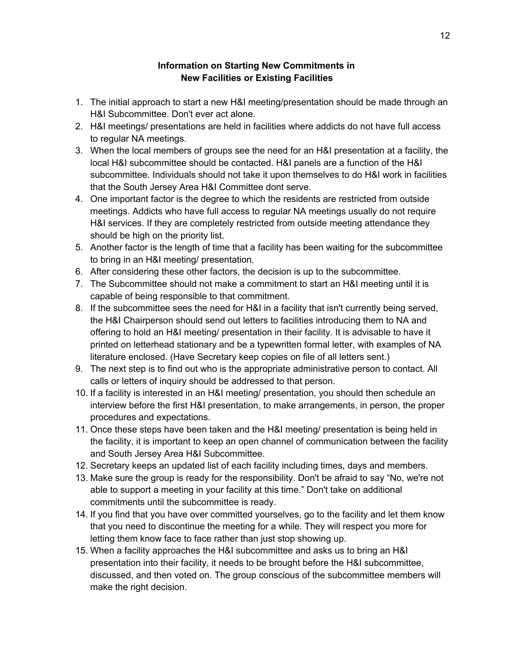## **Information on Starting New Commitments in New Facilities or Existing Facilities**

- 1. The initial approach to start a new H&I meeting/presentation should be made through an H&I Subcommittee. Don't ever act alone.
- 2. H&I meetings/ presentations are held in facilities where addicts do not have full access to regular NA meetings.
- 3. When the local members of groups see the need for an H&I presentation at a facility, the local H&I subcommittee should be contacted. H&I panels are a function of the H&I subcommittee. Individuals should not take it upon themselves to do H&I work in facilities that the South Jersey Area H&I Committee dont serve.
- 4. One important factor is the degree to which the residents are restricted from outside meetings. Addicts who have full access to regular NA meetings usually do not require H&I services. If they are completely restricted from outside meeting attendance they should be high on the priority list.
- 5. Another factor is the length of time that a facility has been waiting for the subcommittee to bring in an H&I meeting/ presentation.
- 6. After considering these other factors, the decision is up to the subcommittee.
- 7. The Subcommittee should not make a commitment to start an H&I meeting until it is capable of being responsible to that commitment.
- 8. If the subcommittee sees the need for H&I in a facility that isn't currently being served, the H&I Chairperson should send out letters to facilities introducing them to NA and offering to hold an H&I meeting/ presentation in their facility. It is advisable to have it printed on letterhead stationary and be a typewritten formal letter, with examples of NA literature enclosed. (Have Secretary keep copies on file of all letters sent.)
- 9. The next step is to find out who is the appropriate administrative person to contact. All calls or letters of inquiry should be addressed to that person.
- 10. If a facility is interested in an H&I meeting/ presentation, you should then schedule an interview before the first H&I presentation, to make arrangements, in person, the proper procedures and expectations.
- 11. Once these steps have been taken and the H&I meeting/ presentation is being held in the facility, it is important to keep an open channel of communication between the facility and South Jersey Area H&I Subcommittee.
- 12. Secretary keeps an updated list of each facility including times, days and members.
- 13. Make sure the group is ready for the responsibility. Don't be afraid to say "No, we're not able to support a meeting in your facility at this time." Don't take on additional commitments until the subcommittee is ready.
- 14. If you find that you have over committed yourselves, go to the facility and let them know that you need to discontinue the meeting for a while. They will respect you more for letting them know face to face rather than just stop showing up.
- 15. When a facility approaches the H&I subcommittee and asks us to bring an H&I presentation into their facility, it needs to be brought before the H&I subcommittee, discussed, and then voted on. The group conscious of the subcommittee members will make the right decision.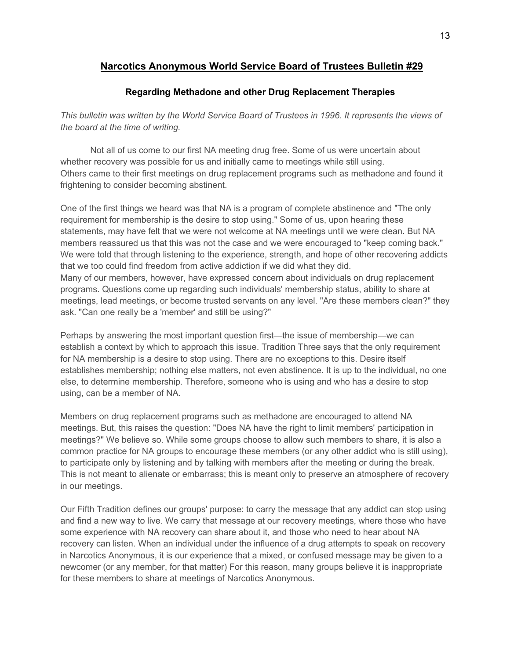# **Narcotics Anonymous World Service Board of Trustees Bulletin #29**

## **Regarding Methadone and other Drug Replacement Therapies**

*This bulletin was written by the World Service Board of Trustees in 1996. It represents the views of the board at the time of writing.* 

Not all of us come to our first NA meeting drug free. Some of us were uncertain about whether recovery was possible for us and initially came to meetings while still using. Others came to their first meetings on drug replacement programs such as methadone and found it frightening to consider becoming abstinent.

One of the first things we heard was that NA is a program of complete abstinence and "The only requirement for membership is the desire to stop using." Some of us, upon hearing these statements, may have felt that we were not welcome at NA meetings until we were clean. But NA members reassured us that this was not the case and we were encouraged to "keep coming back." We were told that through listening to the experience, strength, and hope of other recovering addicts that we too could find freedom from active addiction if we did what they did. Many of our members, however, have expressed concern about individuals on drug replacement programs. Questions come up regarding such individuals' membership status, ability to share at meetings, lead meetings, or become trusted servants on any level. "Are these members clean?" they ask. "Can one really be a 'member' and still be using?"

Perhaps by answering the most important question first—the issue of membership—we can establish a context by which to approach this issue. Tradition Three says that the only requirement for NA membership is a desire to stop using. There are no exceptions to this. Desire itself establishes membership; nothing else matters, not even abstinence. It is up to the individual, no one else, to determine membership. Therefore, someone who is using and who has a desire to stop using, can be a member of NA.

Members on drug replacement programs such as methadone are encouraged to attend NA meetings. But, this raises the question: "Does NA have the right to limit members' participation in meetings?" We believe so. While some groups choose to allow such members to share, it is also a common practice for NA groups to encourage these members (or any other addict who is still using), to participate only by listening and by talking with members after the meeting or during the break. This is not meant to alienate or embarrass; this is meant only to preserve an atmosphere of recovery in our meetings.

Our Fifth Tradition defines our groups' purpose: to carry the message that any addict can stop using and find a new way to live. We carry that message at our recovery meetings, where those who have some experience with NA recovery can share about it, and those who need to hear about NA recovery can listen. When an individual under the influence of a drug attempts to speak on recovery in Narcotics Anonymous, it is our experience that a mixed, or confused message may be given to a newcomer (or any member, for that matter) For this reason, many groups believe it is inappropriate for these members to share at meetings of Narcotics Anonymous.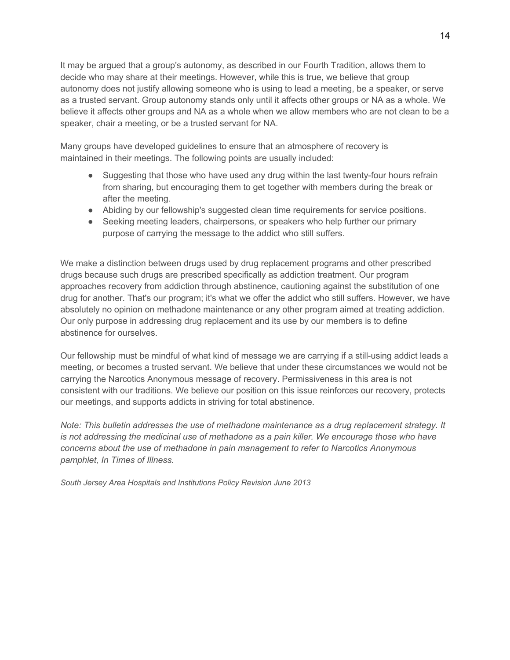It may be argued that a group's autonomy, as described in our Fourth Tradition, allows them to decide who may share at their meetings. However, while this is true, we believe that group autonomy does not justify allowing someone who is using to lead a meeting, be a speaker, or serve as a trusted servant. Group autonomy stands only until it affects other groups or NA as a whole. We believe it affects other groups and NA as a whole when we allow members who are not clean to be a speaker, chair a meeting, or be a trusted servant for NA.

Many groups have developed guidelines to ensure that an atmosphere of recovery is maintained in their meetings. The following points are usually included:

- Suggesting that those who have used any drug within the last twenty-four hours refrain from sharing, but encouraging them to get together with members during the break or after the meeting.
- Abiding by our fellowship's suggested clean time requirements for service positions.
- Seeking meeting leaders, chairpersons, or speakers who help further our primary purpose of carrying the message to the addict who still suffers.

We make a distinction between drugs used by drug replacement programs and other prescribed drugs because such drugs are prescribed specifically as addiction treatment. Our program approaches recovery from addiction through abstinence, cautioning against the substitution of one drug for another. That's our program; it's what we offer the addict who still suffers. However, we have absolutely no opinion on methadone maintenance or any other program aimed at treating addiction. Our only purpose in addressing drug replacement and its use by our members is to define abstinence for ourselves.

Our fellowship must be mindful of what kind of message we are carrying if a still-using addict leads a meeting, or becomes a trusted servant. We believe that under these circumstances we would not be carrying the Narcotics Anonymous message of recovery. Permissiveness in this area is not consistent with our traditions. We believe our position on this issue reinforces our recovery, protects our meetings, and supports addicts in striving for total abstinence.

*Note: This bulletin addresses the use of methadone maintenance as a drug replacement strategy. It is not addressing the medicinal use of methadone as a pain killer. We encourage those who have concerns about the use of methadone in pain management to refer to Narcotics Anonymous pamphlet, In Times of Illness.*

*South Jersey Area Hospitals and Institutions Policy Revision June 2013*